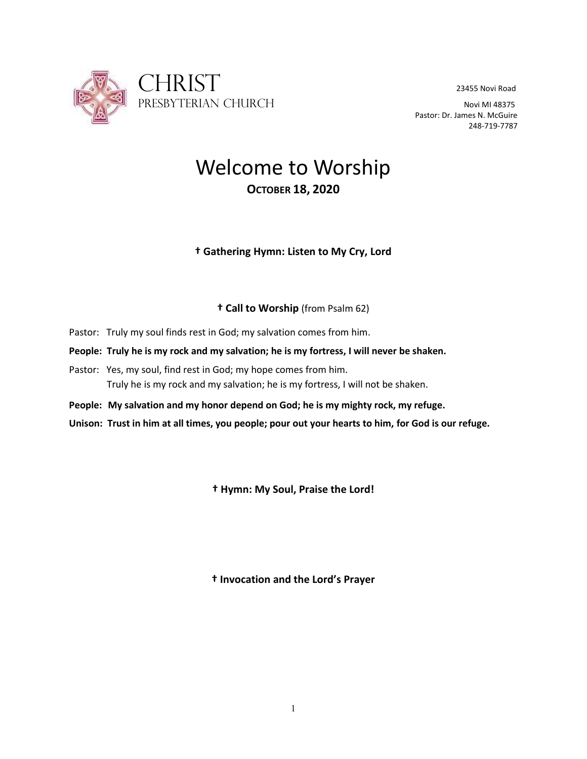

Pastor: Dr. James N. McGuire 248-719-7787

# Welcome to Worship **OCTOBER 18, 2020**

## **† Gathering Hymn: Listen to My Cry, Lord**

## **† Call to Worship** (from Psalm 62)

- Pastor: Truly my soul finds rest in God; my salvation comes from him.
- **People: Truly he is my rock and my salvation; he is my fortress, I will never be shaken.**
- Pastor: Yes, my soul, find rest in God; my hope comes from him. Truly he is my rock and my salvation; he is my fortress, I will not be shaken.
- **People: My salvation and my honor depend on God; he is my mighty rock, my refuge.**

**Unison: Trust in him at all times, you people; pour out your hearts to him, for God is our refuge.**

**† Hymn: My Soul, Praise the Lord!**

**† Invocation and the Lord's Prayer**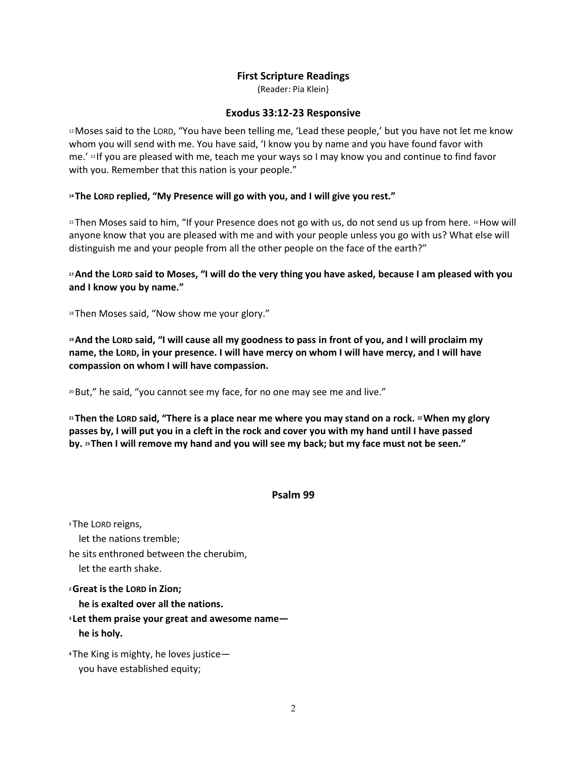#### **First Scripture Readings**

(Reader: Pia Klein}

#### **Exodus 33:12-23 Responsive**

<sup>12</sup> Moses said to the LORD, "You have been telling me, 'Lead these people,' but you have not let me know whom you will send with me. You have said, 'I know you by name and you have found favor with me.' <sup>13</sup> If you are pleased with me, teach me your ways so I may know you and continue to find favor with you. Remember that this nation is your people."

#### **<sup>14</sup> The LORD replied, "My Presence will go with you, and I will give you rest."**

<sup>15</sup> Then Moses said to him, "If your Presence does not go with us, do not send us up from here. <sup>16</sup>How will anyone know that you are pleased with me and with your people unless you go with us? What else will distinguish me and your people from all the other people on the face of the earth?"

#### **<sup>17</sup>And the LORD said to Moses, "I will do the very thing you have asked, because I am pleased with you and I know you by name."**

18 Then Moses said, "Now show me your glory."

**<sup>19</sup>And the LORD said, "I will cause all my goodness to pass in front of you, and I will proclaim my name, the LORD, in your presence. I will have mercy on whom I will have mercy, and I will have compassion on whom I will have compassion.**

<sup>20</sup>But," he said, "you cannot see my face, for no one may see me and live."

**<sup>21</sup> Then the LORD said, "There is a place near me where you may stand on a rock. <sup>22</sup>When my glory passes by, I will put you in a cleft in the rock and cover you with my hand until I have passed by. <sup>23</sup> Then I will remove my hand and you will see my back; but my face must not be seen."**

#### **Psalm 99**

**<sup>1</sup>** The LORD reigns, let the nations tremble; he sits enthroned between the cherubim, let the earth shake. **<sup>2</sup>Great is the LORD in Zion; he is exalted over all the nations.**

**<sup>3</sup> Let them praise your great and awesome name he is holy.**

**<sup>4</sup>** The King is mighty, he loves justice you have established equity;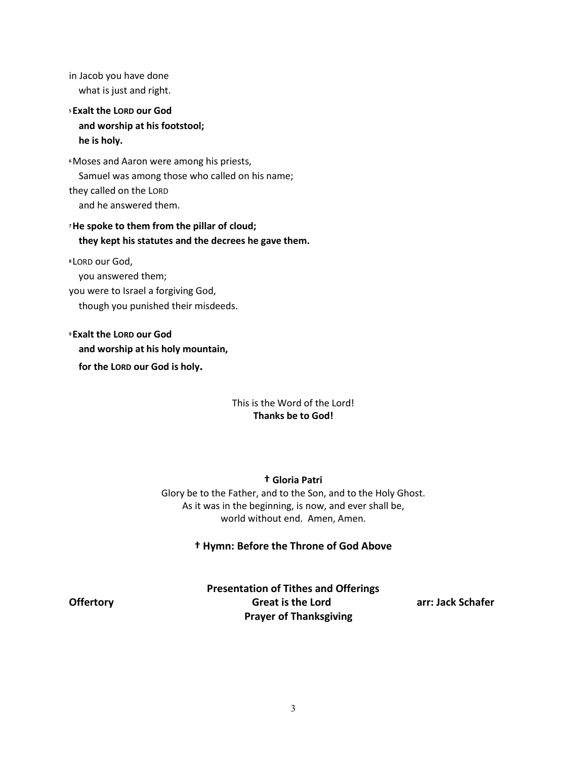in Jacob you have done what is just and right. **<sup>5</sup> Exalt the LORD our God and worship at his footstool; he is holy.**

**<sup>6</sup>**Moses and Aaron were among his priests, Samuel was among those who called on his name; they called on the LORD and he answered them.

## **<sup>7</sup>He spoke to them from the pillar of cloud; they kept his statutes and the decrees he gave them.**

**<sup>8</sup>** LORD our God,

you answered them;

you were to Israel a forgiving God,

though you punished their misdeeds.

**<sup>9</sup> Exalt the LORD our God and worship at his holy mountain, for the LORD our God is holy.**

#### This is the Word of the Lord! **Thanks be to God!**

## **† Gloria Patri**

Glory be to the Father, and to the Son, and to the Holy Ghost. As it was in the beginning, is now, and ever shall be, world without end. Amen, Amen.

## **† Hymn: Before the Throne of God Above**

**Presentation of Tithes and Offerings Offertory Great is the Lord arr: Jack Schafer Prayer of Thanksgiving**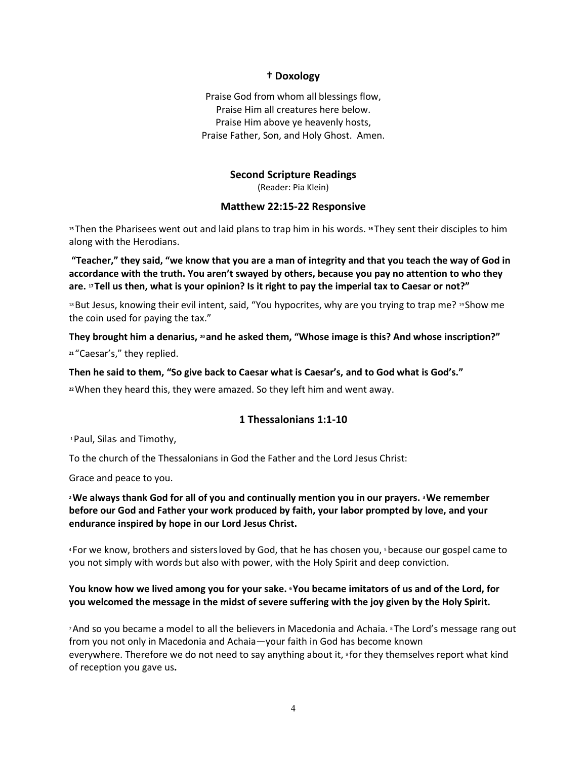#### **† Doxology**

Praise God from whom all blessings flow, Praise Him all creatures here below. Praise Him above ye heavenly hosts, Praise Father, Son, and Holy Ghost. Amen.

## **Second Scripture Readings**

(Reader: Pia Klein)

#### **Matthew 22:15-22 Responsive**

**<sup>15</sup>** Then the Pharisees went out and laid plans to trap him in his words. **<sup>16</sup>** They sent their disciples to him along with the Herodians.

**"Teacher," they said, "we know that you are a man of integrity and that you teach the way of God in accordance with the truth. You aren't swayed by others, because you pay no attention to who they are. <sup>17</sup> Tell us then, what is your opinion? Is it right to pay the imperial tax to Caesar or not?"**

<sup>18</sup>But Jesus, knowing their evil intent, said, "You hypocrites, why are you trying to trap me? <sup>19</sup> Show me the coin used for paying the tax."

**They brought him a denarius, <sup>20</sup> and he asked them, "Whose image is this? And whose inscription?"**

**<sup>21</sup>** "Caesar's," they replied.

**Then he said to them, "So give back to Caesar what is Caesar's, and to God what is God's."**

**<sup>22</sup>**When they heard this, they were amazed. So they left him and went away.

#### **1 Thessalonians 1:1-10**

<sup>1</sup>Paul, Silas, and Timothy,

To the church of the Thessalonians in God the Father and the Lord Jesus Christ:

Grace and peace to you.

**<sup>2</sup>We always thank God for all of you and continually mention you in our prayers. <sup>3</sup>We remember before our God and Father your work produced by faith, your labor prompted by love, and your endurance inspired by hope in our Lord Jesus Christ.**

4 For we know, brothers and sisters loved by God, that he has chosen you, sbecause our gospel came to you not simply with words but also with power, with the Holy Spirit and deep conviction.

#### **You know how we lived among you for your sake. <sup>6</sup>You became imitators of us and of the Lord, for you welcomed the message in the midst of severe suffering with the joy given by the Holy Spirit.**

<sup>7</sup> And so you became a model to all the believers in Macedonia and Achaia. <sup>8</sup> The Lord's message rang out from you not only in Macedonia and Achaia—your faith in God has become known everywhere. Therefore we do not need to say anything about it, <sup>9</sup> for they themselves report what kind of reception you gave us**.**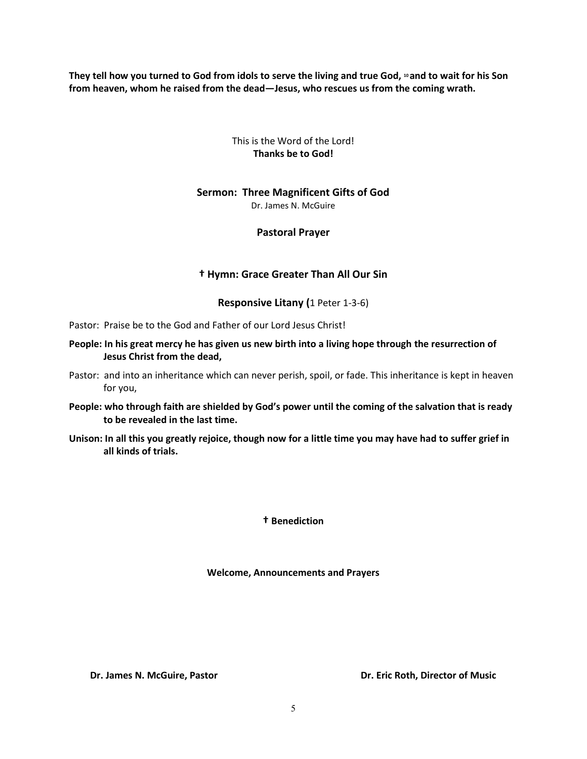**They tell how you turned to God from idols to serve the living and true God, <sup>10</sup> and to wait for his Son from heaven, whom he raised from the dead—Jesus, who rescues us from the coming wrath.**

#### This is the Word of the Lord! **Thanks be to God!**

#### **Sermon: Three Magnificent Gifts of God**

Dr. James N. McGuire

#### **Pastoral Prayer**

#### **† Hymn: Grace Greater Than All Our Sin**

#### **Responsive Litany (**1 Peter 1-3-6)

Pastor: Praise be to the God and Father of our Lord Jesus Christ!

#### **People: In his great mercy he has given us new birth into a living hope through the resurrection of Jesus Christ from the dead,**

- Pastor: and into an inheritance which can never perish, spoil, or fade. This inheritance is kept in heaven for you,
- **People: who through faith are shielded by God's power until the coming of the salvation that is ready to be revealed in the last time.**
- **Unison: In all this you greatly rejoice, though now for a little time you may have had to suffer grief in all kinds of trials.**

**† Benediction**

**Welcome, Announcements and Prayers**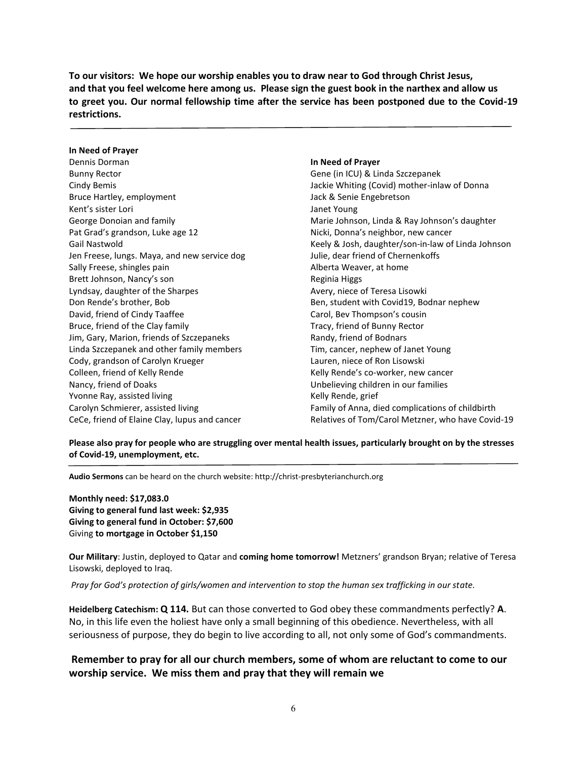**To our visitors: We hope our worship enables you to draw near to God through Christ Jesus, and that you feel welcome here among us. Please sign the guest book in the narthex and allow us to greet you. Our normal fellowship time after the service has been postponed due to the Covid-19 restrictions.**

#### **In Need of Prayer**

Dennis Dorman Bunny Rector Cindy Bemis Bruce Hartley, employment Kent's sister Lori George Donoian and family Pat Grad's grandson, Luke age 12 Gail Nastwold Jen Freese, lungs. Maya, and new service dog Sally Freese, shingles pain Brett Johnson, Nancy's son Lyndsay, daughter of the Sharpes Don Rende's brother, Bob David, friend of Cindy Taaffee Bruce, friend of the Clay family Jim, Gary, Marion, friends of Szczepaneks Linda Szczepanek and other family members Cody, grandson of Carolyn Krueger Colleen, friend of Kelly Rende Nancy, friend of Doaks Yvonne Ray, assisted living Carolyn Schmierer, assisted living CeCe, friend of Elaine Clay, lupus and cancer

#### **In Need of Prayer**

Gene (in ICU) & Linda Szczepanek Jackie Whiting (Covid) mother-inlaw of Donna Jack & Senie Engebretson Janet Young Marie Johnson, Linda & Ray Johnson's daughter Nicki, Donna's neighbor, new cancer Keely & Josh, daughter/son-in-law of Linda Johnson Julie, dear friend of Chernenkoffs Alberta Weaver, at home Reginia Higgs Avery, niece of Teresa Lisowki Ben, student with Covid19, Bodnar nephew Carol, Bev Thompson's cousin Tracy, friend of Bunny Rector Randy, friend of Bodnars Tim, cancer, nephew of Janet Young Lauren, niece of Ron Lisowski Kelly Rende's co-worker, new cancer Unbelieving children in our families Kelly Rende, grief Family of Anna, died complications of childbirth Relatives of Tom/Carol Metzner, who have Covid-19

**Please also pray for people who are struggling over mental health issues, particularly brought on by the stresses of Covid-19, unemployment, etc.**

**Audio Sermons** can be heard on the church website: http://christ-presbyterianchurch.org

**Monthly need: \$17,083.0 Giving to general fund last week: \$2,935 Giving to general fund in October: \$7,600** Giving **to mortgage in October \$1,150**

**Our Military**: Justin, deployed to Qatar and **coming home tomorrow!** Metzners' grandson Bryan; relative of Teresa Lisowski, deployed to Iraq.

*Pray for God's protection of girls/women and intervention to stop the human sex trafficking in our state.*

**Heidelberg Catechism: Q 114.** But can those converted to God obey these commandments perfectly? **A**. No, in this life even the holiest have only a small beginning of this obedience. Nevertheless, with all seriousness of purpose, they do begin to live according to all, not only some of God's commandments.

**Remember to pray for all our church members, some of whom are reluctant to come to our worship service. We miss them and pray that they will remain we**